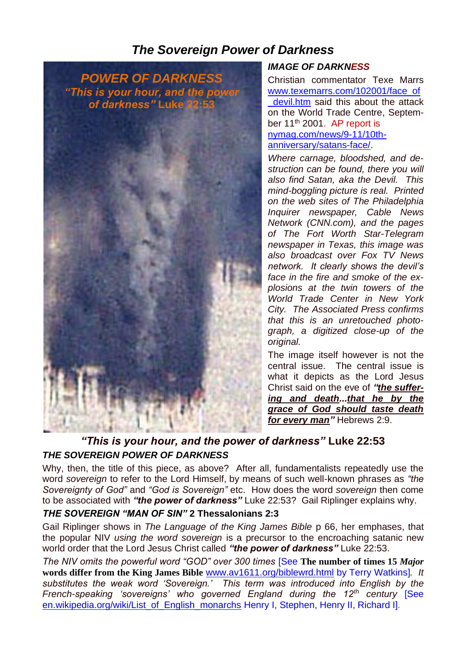# *The Sovereign Power of Darkness*



#### *IMAGE OF DARKNESS*

Christian commentator Texe Marrs [www.texemarrs.com/102001/face\\_of](http://www.texemarrs.com/102001/face_of_devil.htm) devil.htm said this about the attack on the World Trade Centre, September 11<sup>th</sup> 2001. AP report is [nymag.com/news/9-11/10th](http://nymag.com/news/9-11/10th-anniversary/satans-face/)[anniversary/satans-face/.](http://nymag.com/news/9-11/10th-anniversary/satans-face/)

*Where carnage, bloodshed, and destruction can be found, there you will also find Satan, aka the Devil. This mind-boggling picture is real. Printed on the web sites of The Philadelphia Inquirer newspaper, Cable News Network (CNN.com), and the pages of The Fort Worth Star-Telegram newspaper in Texas, this image was also broadcast over Fox TV News network. It clearly shows the devil's face in the fire and smoke of the explosions at the twin towers of the World Trade Center in New York City. The Associated Press confirms that this is an unretouched photograph, a digitized close-up of the original.*

The image itself however is not the central issue. The central issue is what it depicts as the Lord Jesus Christ said on the eve of *"the suffering and death...that he by the grace of God should taste death for every man"* Hebrews 2:9.

## *"This is your hour, and the power of darkness"* **Luke 22:53** *THE SOVEREIGN POWER OF DARKNESS*

Why, then, the title of this piece, as above? After all, fundamentalists repeatedly use the word *sovereign* to refer to the Lord Himself, by means of such well-known phrases as *"the Sovereignty of God"* and *"God is Sovereign"* etc. How does the word *sovereign* then come to be associated with *"the power of darkness"* Luke 22:53? Gail Riplinger explains why.

### *THE SOVEREIGN "MAN OF SIN"* **2 Thessalonians 2:3**

Gail Riplinger shows in *The Language of the King James Bible* p 66, her emphases, that the popular NIV *using the word sovereign* is a precursor to the encroaching satanic new world order that the Lord Jesus Christ called *"the power of darkness"* Luke 22:53.

*The NIV omits the powerful word "GOD" over 300 times* [See **The number of times 15** *Major* **words differ from the King James Bible** [www.av1611.org/biblewrd.html](http://www.av1611.org/biblewrd.html) by Terry Watkins]*. It substitutes the weak word 'Sovereign.' This term was introduced into English by the French-speaking 'sovereigns' who governed England during the 12th century* [See [en.wikipedia.org/wiki/List\\_of\\_English\\_monarchs](http://en.wikipedia.org/wiki/List_of_English_monarchs) Henry I, Stephen, Henry II, Richard I]*.*